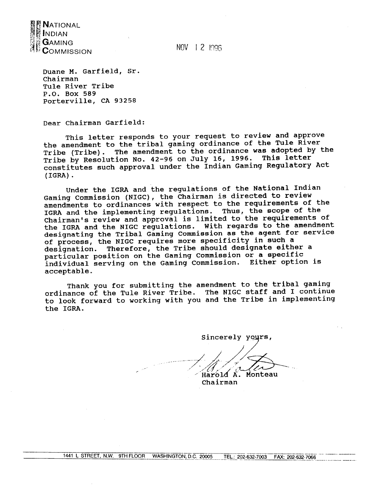

NOV 1 2 1996

Duane M. Garfield, Sr. Chairman Tule River Tribe P.O. Box 589 Porterville, CA 93258

Dear Chairman Garfield:

This letter responds to your request to review and approve the amendment to the tribal gaming ordinance of the Tule River Tribe (Tribe). The amendment to the ordinance was adopted by the Tribe by Resolution No. 42-96 on July 16, 1996. This letter constitutes such approval under the Indian Gaming Regulatory Act  $(IGRA)$ .

Under the IGRA and the regulations of the National Indian Gaming Commission (NIGC), the Chairman is directed to review amendments to ordinances with respect to the requirements of the IGRA and the implementing regulations. Thus, the scope of the Chairman's review and approval is limited to the requirements of the IGRA and the NIGC regulations. With regards to the amendment designating the Tribal Gaming Commission as the agent for service of process, the NIGC requires more specificity in such a Therefore, the Tribe should designate either a designation. particular position on the Gaming Commission or a specific individual serving on the Gaming Commission. Either option is acceptable.

Thank you for submitting the amendment to the tribal gaming ordinance of the Tule River Tribe. The NIGC staff and I continue to look forward to working with you and the Tribe in implementing the IGRA.

Sincerely yours,

 $M = \mu$ Chairman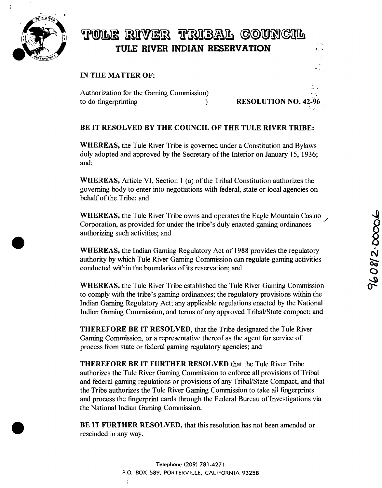

## TULE RIVER TRIBAL COUNCIL **TULE RWER INDIAN RESERVATION <sup>~</sup>**

## **IN THE MATTER OF:**

**Authorization for the Gaming Commission) to do fingerprinting ) RESOLUTION NO. 42-96**

## **BE IT RESOLVED BY THE COUNCIL OF THE TULE RIVER TRIBE:**

**WHEREAS, the Tule River Tribe is governed under <sup>a</sup> Constitution and Bylaws duly adopted and approved by the Secretary of the Interior on January 15, 1936; and;**

**WHEREAS, Article VI, Section <sup>1</sup> (a) of the Tribal Constitution authorizes the governing body to enter into negotiations with federal, state or local agencies on behalf of the Tribe; and**

**WHEREAS,** the Tule River Tribe owns and operates the Eagle Mountain Casino **Corporation, as provided for under the tribe's duly enacted gaming ordinances authorizing such activities; and**

**WHEREAS, the Indian Gaming Regulatory Act of <sup>1988</sup> provides the regulatory authority by which Tule River Gaming Commission can regulate gaming activities conducted within the boundaries of its reservation; and**

**WHEREAS, the Tule River Tribe established the Tule River Gaming Commission**  $\alpha$  **to** comply with the tribe's gaming ordinances; the regulatory provisions within the **Indian Gaming Regulatory Act; any applicable regulations enacted by the National Indian Gaming Commission; and terms of any approved Tribal/State compact; and**

**THEREFORE BE IT RESOLVED, that the Tribe designated the Tule River Gaming Commission, or <sup>a</sup> representative thereof as the agent for service of process from state or federal gaming regulatory agencies; and**

**THEREFORE BE IT FURTHER RESOLVED that the Tule River Tribe authorizes the Tule River Gaming Commission to enforce all provisions of Tribal and federal gaming regulations or provisions of any Tribal/State Compact, and that the Tribe authorizes the Tule River Gaming Commission to take all fingerprints and process the fingerprint cards through the Federal Bureau of Investigations via the National Indian Gaming Commission.**

**BE iT FURTHER RESOLVED, that this resolution has not been amended or rescinded in any way.**